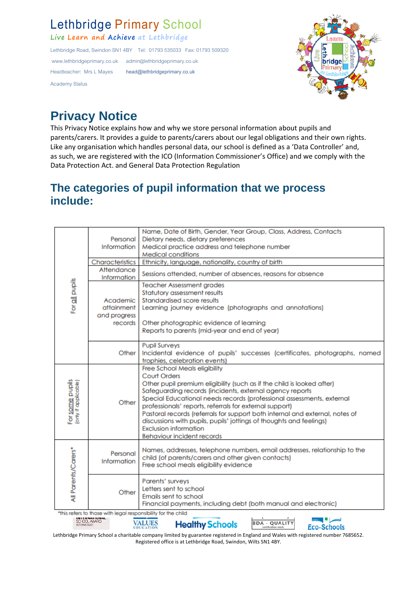# **Lethbridge Primary School**

#### **Live Learn and Achieve at Lethbridge**

Lethbridge Road, Swindon SN1 4BY Tel: 01793 535033 Fax: 01793 509320 www.lethbridgeprimary.co.uk admin@lethbridgeprimary.co.uk Headteacher: Mrs L Mayes **head@lethbridgeprimary.co.uk**  Academy Status



# **Privacy Notice**

This Privacy Notice explains how and why we store personal information about pupils and parents/carers. It provides a guide to parents/carers about our legal obligations and their own rights. Like any organisation which handles personal data, our school is defined as a 'Data Controller' and, as such, we are registered with the ICO (Information Commissioner's Office) and we comply with the Data Protection Act. and General Data Protection Regulation

# **The categories of pupil information that we process include:**

|                                                                                                                                 |                    | Name, Date of Birth, Gender, Year Group, Class, Address, Contacts                            |
|---------------------------------------------------------------------------------------------------------------------------------|--------------------|----------------------------------------------------------------------------------------------|
| For all pupils                                                                                                                  | Personal           | Dietary needs, dietary preferences                                                           |
|                                                                                                                                 | <b>Information</b> | Medical practice address and telephone number                                                |
|                                                                                                                                 |                    | <b>Medical conditions</b>                                                                    |
|                                                                                                                                 | Characteristics    | Ethnicity, language, nationality, country of birth                                           |
|                                                                                                                                 | Attendance         | Sessions attended, number of absences, reasons for absence                                   |
|                                                                                                                                 | <b>Information</b> |                                                                                              |
|                                                                                                                                 |                    | <b>Teacher Assessment grades</b>                                                             |
|                                                                                                                                 |                    | <b>Statutory assessment results</b>                                                          |
|                                                                                                                                 | Academic           | Standardised score results                                                                   |
|                                                                                                                                 | attainment         | Learning journey evidence (photographs and annotations)                                      |
|                                                                                                                                 | and progress       |                                                                                              |
|                                                                                                                                 | records            | Other photographic evidence of learning                                                      |
|                                                                                                                                 |                    | Reports to parents (mid-year and end of year)                                                |
|                                                                                                                                 |                    | <b>Pupil Surveys</b>                                                                         |
|                                                                                                                                 | Other              | Incidental evidence of pupils' successes (certificates, photographs, named                   |
|                                                                                                                                 |                    | trophies, celebration events)                                                                |
| For some pupils<br>ony it applicable)                                                                                           | Other              | Free School Meals eligibility                                                                |
|                                                                                                                                 |                    | Court Orders                                                                                 |
|                                                                                                                                 |                    | Other pupil premium eligibility (such as if the child is looked after)                       |
|                                                                                                                                 |                    | Safeguarding records (incidents, external agency reports                                     |
|                                                                                                                                 |                    | Special Educational needs records (professional assessments, external                        |
|                                                                                                                                 |                    | professionals' reports, referrals for external support)                                      |
|                                                                                                                                 |                    | Pastoral records (referrals for support both internal and external, notes of                 |
|                                                                                                                                 |                    | discussions with pupils, pupils' jottings of thoughts and feelings)<br>Exclusion information |
|                                                                                                                                 |                    | <b>Behaviour incident records</b>                                                            |
|                                                                                                                                 |                    |                                                                                              |
| All Parents/Carers*                                                                                                             | Personal           | Names, addresses, telephone numbers, email addresses, relationship to the                    |
|                                                                                                                                 | Information        | child (of parents/carers and other given contacts)                                           |
|                                                                                                                                 |                    | Free school meals eligibility evidence                                                       |
|                                                                                                                                 |                    |                                                                                              |
|                                                                                                                                 | Other              | Parents' surveys                                                                             |
|                                                                                                                                 |                    | Letters sent to school                                                                       |
|                                                                                                                                 |                    | Emails sent to school                                                                        |
|                                                                                                                                 |                    | Financial payments, including debt (both manual and electronic)                              |
| *this refers to those with legal responsibility for the child<br>SCHOOL AWARD                                                   |                    |                                                                                              |
| <b>VALUES</b><br><b>BDA - QUALITY</b><br><b>Healthy Schools</b><br><b>INTERMEDIATE</b><br><b>Eco-Schools</b><br><b>EDUCATIO</b> |                    |                                                                                              |

Lethbridge Primary School a charitable company limited by guarantee registered in England and Wales with registered number 7685652. Registered office is at Lethbridge Road, Swindon, Wilts SN1 4BY.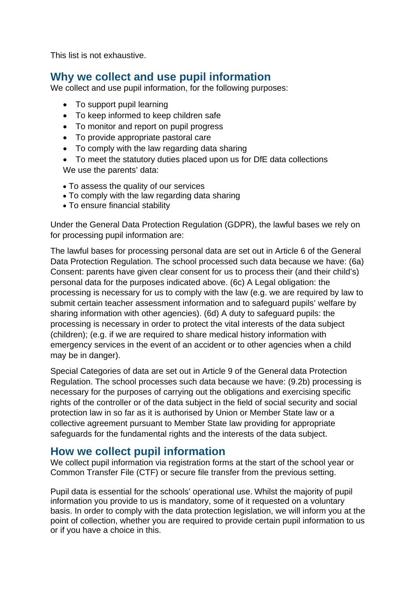This list is not exhaustive.

# **Why we collect and use pupil information**

We collect and use pupil information, for the following purposes:

- To support pupil learning
- To keep informed to keep children safe
- To monitor and report on pupil progress
- To provide appropriate pastoral care
- To comply with the law regarding data sharing
- To meet the statutory duties placed upon us for DfE data collections We use the parents' data:
- To assess the quality of our services
- To comply with the law regarding data sharing
- To ensure financial stability

Under the General Data Protection Regulation (GDPR), the lawful bases we rely on for processing pupil information are:

The lawful bases for processing personal data are set out in Article 6 of the General Data Protection Regulation. The school processed such data because we have: (6a) Consent: parents have given clear consent for us to process their (and their child's) personal data for the purposes indicated above. (6c) A Legal obligation: the processing is necessary for us to comply with the law (e.g. we are required by law to submit certain teacher assessment information and to safeguard pupils' welfare by sharing information with other agencies). (6d) A duty to safeguard pupils: the processing is necessary in order to protect the vital interests of the data subject (children); (e.g. if we are required to share medical history information with emergency services in the event of an accident or to other agencies when a child may be in danger).

Special Categories of data are set out in Article 9 of the General data Protection Regulation. The school processes such data because we have: (9.2b) processing is necessary for the purposes of carrying out the obligations and exercising specific rights of the controller or of the data subject in the field of social security and social protection law in so far as it is authorised by Union or Member State law or a collective agreement pursuant to Member State law providing for appropriate safeguards for the fundamental rights and the interests of the data subject.

### **How we collect pupil information**

We collect pupil information via registration forms at the start of the school year or Common Transfer File (CTF) or secure file transfer from the previous setting.

Pupil data is essential for the schools' operational use. Whilst the majority of pupil information you provide to us is mandatory, some of it requested on a voluntary basis. In order to comply with the data protection legislation, we will inform you at the point of collection, whether you are required to provide certain pupil information to us or if you have a choice in this.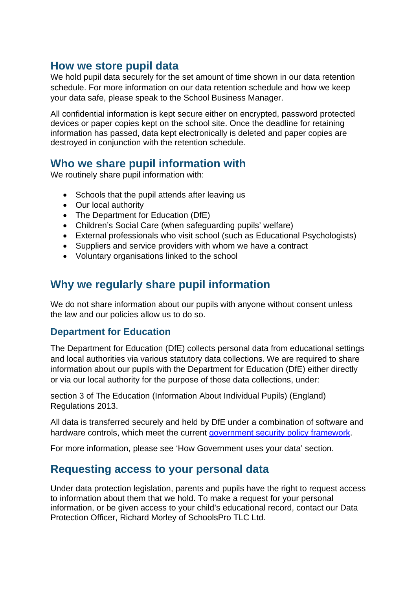### **How we store pupil data**

We hold pupil data securely for the set amount of time shown in our data retention schedule. For more information on our data retention schedule and how we keep your data safe, please speak to the School Business Manager.

All confidential information is kept secure either on encrypted, password protected devices or paper copies kept on the school site. Once the deadline for retaining information has passed, data kept electronically is deleted and paper copies are destroyed in conjunction with the retention schedule.

# **Who we share pupil information with**

We routinely share pupil information with:

- Schools that the pupil attends after leaving us
- Our local authority
- The Department for Education (DfE)
- Children's Social Care (when safeguarding pupils' welfare)
- External professionals who visit school (such as Educational Psychologists)
- Suppliers and service providers with whom we have a contract
- Voluntary organisations linked to the school

# **Why we regularly share pupil information**

We do not share information about our pupils with anyone without consent unless the law and our policies allow us to do so.

#### **Department for Education**

The Department for Education (DfE) collects personal data from educational settings and local authorities via various statutory data collections. We are required to share information about our pupils with the Department for Education (DfE) either directly or via our local authority for the purpose of those data collections, under:

section 3 of The Education (Information About Individual Pupils) (England) Regulations 2013.

All data is transferred securely and held by DfE under a combination of software and hardware controls, which meet the current government security policy framework.

For more information, please see 'How Government uses your data' section.

# **Requesting access to your personal data**

Under data protection legislation, parents and pupils have the right to request access to information about them that we hold. To make a request for your personal information, or be given access to your child's educational record, contact our Data Protection Officer, Richard Morley of SchoolsPro TLC Ltd.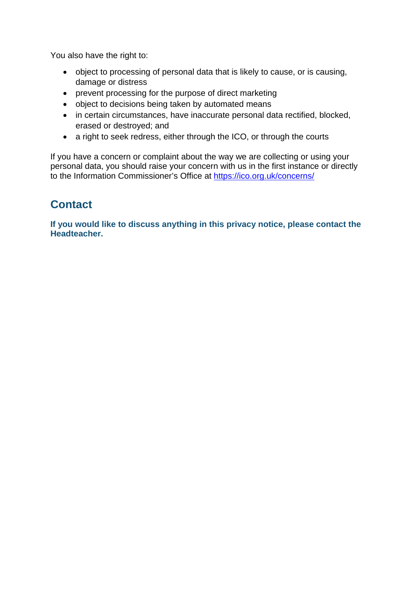You also have the right to:

- object to processing of personal data that is likely to cause, or is causing, damage or distress
- prevent processing for the purpose of direct marketing
- object to decisions being taken by automated means
- in certain circumstances, have inaccurate personal data rectified, blocked, erased or destroyed; and
- a right to seek redress, either through the ICO, or through the courts

If you have a concern or complaint about the way we are collecting or using your personal data, you should raise your concern with us in the first instance or directly to the Information Commissioner's Office at https://ico.org.uk/concerns/

# **Contact**

**If you would like to discuss anything in this privacy notice, please contact the Headteacher.**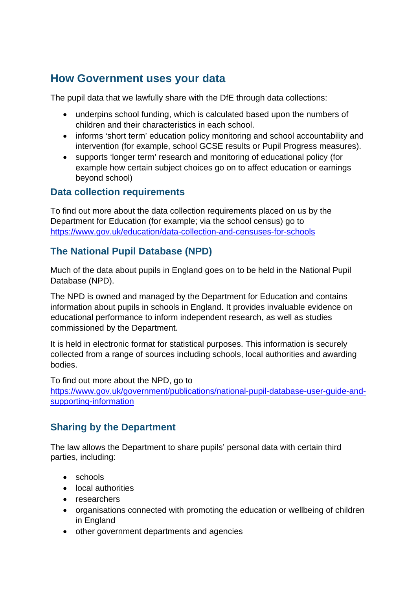# **How Government uses your data**

The pupil data that we lawfully share with the DfE through data collections:

- underpins school funding, which is calculated based upon the numbers of children and their characteristics in each school.
- informs 'short term' education policy monitoring and school accountability and intervention (for example, school GCSE results or Pupil Progress measures).
- supports 'longer term' research and monitoring of educational policy (for example how certain subject choices go on to affect education or earnings beyond school)

### **Data collection requirements**

To find out more about the data collection requirements placed on us by the Department for Education (for example; via the school census) go to https://www.gov.uk/education/data-collection-and-censuses-for-schools

### **The National Pupil Database (NPD)**

Much of the data about pupils in England goes on to be held in the National Pupil Database (NPD).

The NPD is owned and managed by the Department for Education and contains information about pupils in schools in England. It provides invaluable evidence on educational performance to inform independent research, as well as studies commissioned by the Department.

It is held in electronic format for statistical purposes. This information is securely collected from a range of sources including schools, local authorities and awarding bodies.

To find out more about the NPD, go to https://www.gov.uk/government/publications/national-pupil-database-user-guide-andsupporting-information

### **Sharing by the Department**

The law allows the Department to share pupils' personal data with certain third parties, including:

- schools
- local authorities
- researchers
- organisations connected with promoting the education or wellbeing of children in England
- other government departments and agencies